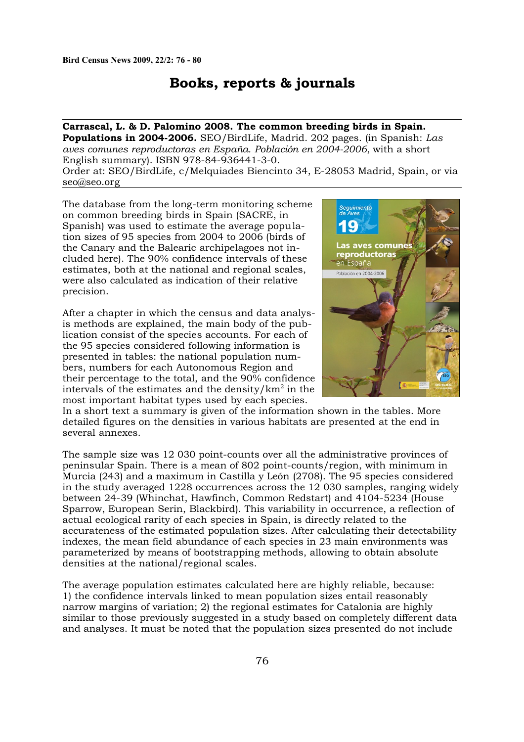## **Books, reports & journals**

## **Carrascal, L. & D. Palomino 2008. The common breeding birds in Spain.**

**Populations in 2004-2006.** SEO/BirdLife, Madrid. 202 pages. (in Spanish: *Las aves comunes reproductoras en España. Población en 2004-2006*, with a short English summary). ISBN 978-84-936441-3-0.

Order at: SEO/BirdLife, c/Melquiades Biencinto 34, E-28053 Madrid, Spain, or via seo@seo.org

The database from the long-term monitoring scheme on common breeding birds in Spain (SACRE, in Spanish) was used to estimate the average population sizes of 95 species from 2004 to 2006 (birds of the Canary and the Balearic archipelagoes not included here). The 90% confidence intervals of these estimates, both at the national and regional scales, were also calculated as indication of their relative precision.

After a chapter in which the census and data analysis methods are explained, the main body of the publication consist of the species accounts. For each of the 95 species considered following information is presented in tables: the national population numbers, numbers for each Autonomous Region and their percentage to the total, and the 90% confidence intervals of the estimates and the density/ $km^2$  in the most important habitat types used by each species.



In a short text a summary is given of the information shown in the tables. More detailed figures on the densities in various habitats are presented at the end in several annexes.

The sample size was 12 030 point-counts over all the administrative provinces of peninsular Spain. There is a mean of 802 point-counts/region, with minimum in Murcia (243) and a maximum in Castilla y León (2708). The 95 species considered in the study averaged 1228 occurrences across the 12 030 samples, ranging widely between 24-39 (Whinchat, Hawfinch, Common Redstart) and 4104-5234 (House Sparrow, European Serin, Blackbird). This variability in occurrence, a reflection of actual ecological rarity of each species in Spain, is directly related to the accurateness of the estimated population sizes. After calculating their detectability indexes, the mean field abundance of each species in 23 main environments was parameterized by means of bootstrapping methods, allowing to obtain absolute densities at the national/regional scales.

The average population estimates calculated here are highly reliable, because: 1) the confidence intervals linked to mean population sizes entail reasonably narrow margins of variation; 2) the regional estimates for Catalonia are highly similar to those previously suggested in a study based on completely different data and analyses. It must be noted that the population sizes presented do not include